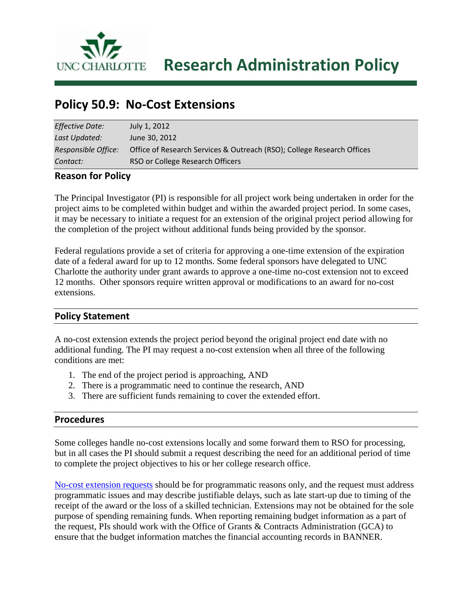

**UNC CHARLOTTE** Research Administration Policy

# **Policy 50.9: No-Cost Extensions**

| <b>Effective Date:</b> | July 1, 2012                                                           |
|------------------------|------------------------------------------------------------------------|
| Last Updated:          | June 30, 2012                                                          |
| Responsible Office:    | Office of Research Services & Outreach (RSO); College Research Offices |
| Contact:               | RSO or College Research Officers                                       |

#### **Reason for Policy**

The Principal Investigator (PI) is responsible for all project work being undertaken in order for the project aims to be completed within budget and within the awarded project period. In some cases, it may be necessary to initiate a request for an extension of the original project period allowing for the completion of the project without additional funds being provided by the sponsor.

Federal regulations provide a set of criteria for approving a one-time extension of the expiration date of a federal award for up to 12 months. Some federal sponsors have delegated to UNC Charlotte the authority under grant awards to approve a one-time no-cost extension not to exceed 12 months. Other sponsors require written approval or modifications to an award for no-cost extensions.

#### **Policy Statement**

A no-cost extension extends the project period beyond the original project end date with no additional funding. The PI may request a no-cost extension when all three of the following conditions are met:

- 1. The end of the project period is approaching, AND
- 2. There is a programmatic need to continue the research, AND
- 3. There are sufficient funds remaining to cover the extended effort.

#### **Procedures**

Some colleges handle no-cost extensions locally and some forward them to RSO for processing, but in all cases the PI should submit a request describing the need for an additional period of time to complete the project objectives to his or her college research office.

No-cost [extension requests](https://research.uncc.edu/sites/research.uncc.edu/files/media/files/No-Cost-Extension-Request.pdf) should be for programmatic reasons only, and the request must address programmatic issues and may describe justifiable delays, such as late start-up due to timing of the receipt of the award or the loss of a skilled technician. Extensions may not be obtained for the sole purpose of spending remaining funds. When reporting remaining budget information as a part of the request, PIs should work with the Office of Grants & Contracts Administration (GCA) to ensure that the budget information matches the financial accounting records in BANNER.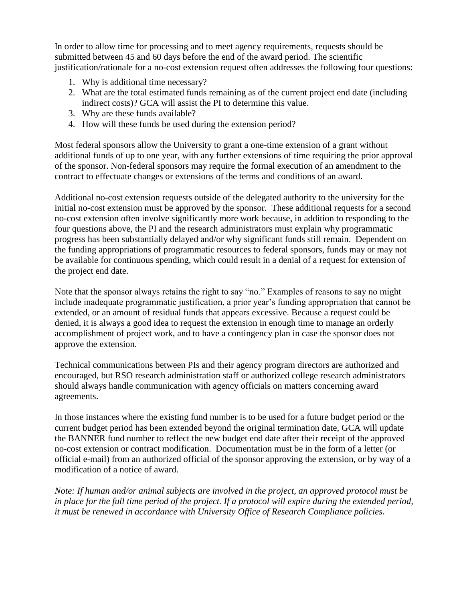In order to allow time for processing and to meet agency requirements, requests should be submitted between 45 and 60 days before the end of the award period. The scientific justification/rationale for a no-cost extension request often addresses the following four questions:

- 1. Why is additional time necessary?
- 2. What are the total estimated funds remaining as of the current project end date (including indirect costs)? GCA will assist the PI to determine this value.
- 3. Why are these funds available?
- 4. How will these funds be used during the extension period?

Most federal sponsors allow the University to grant a one-time extension of a grant without additional funds of up to one year, with any further extensions of time requiring the prior approval of the sponsor. Non-federal sponsors may require the formal execution of an amendment to the contract to effectuate changes or extensions of the terms and conditions of an award.

Additional no-cost extension requests outside of the delegated authority to the university for the initial no-cost extension must be approved by the sponsor. These additional requests for a second no-cost extension often involve significantly more work because, in addition to responding to the four questions above, the PI and the research administrators must explain why programmatic progress has been substantially delayed and/or why significant funds still remain. Dependent on the funding appropriations of programmatic resources to federal sponsors, funds may or may not be available for continuous spending, which could result in a denial of a request for extension of the project end date.

Note that the sponsor always retains the right to say "no." Examples of reasons to say no might include inadequate programmatic justification, a prior year's funding appropriation that cannot be extended, or an amount of residual funds that appears excessive. Because a request could be denied, it is always a good idea to request the extension in enough time to manage an orderly accomplishment of project work, and to have a contingency plan in case the sponsor does not approve the extension.

Technical communications between PIs and their agency program directors are authorized and encouraged, but RSO research administration staff or authorized college research administrators should always handle communication with agency officials on matters concerning award agreements.

In those instances where the existing fund number is to be used for a future budget period or the current budget period has been extended beyond the original termination date, GCA will update the BANNER fund number to reflect the new budget end date after their receipt of the approved no-cost extension or contract modification. Documentation must be in the form of a letter (or official e-mail) from an authorized official of the sponsor approving the extension, or by way of a modification of a notice of award.

*Note: If human and/or animal subjects are involved in the project, an approved protocol must be in place for the full time period of the project. If a protocol will expire during the extended period, it must be renewed in accordance with University Office of Research Compliance policies.*